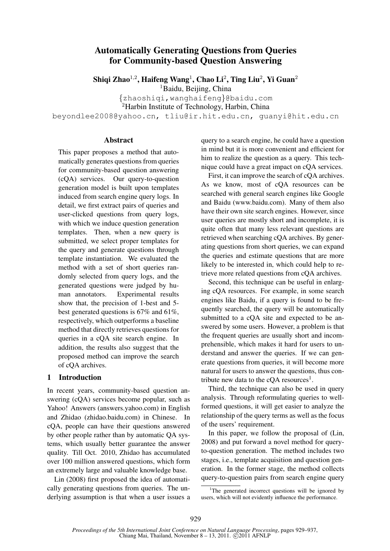# Automatically Generating Questions from Queries for Community-based Question Answering

Shiqi Zhao $^{1,2}$ , Haifeng Wang $^{1}$ , Chao Li $^{2}$ , Ting Liu $^{2}$ , Yi Guan $^{2}$ 

<sup>1</sup>Baidu, Beijing, China

{zhaoshiqi,wanghaifeng}@baidu.com

<sup>2</sup>Harbin Institute of Technology, Harbin, China

beyondlee2008@yahoo.cn, tliu@ir.hit.edu.cn, guanyi@hit.edu.cn

### Abstract

This paper proposes a method that automatically generates questions from queries for community-based question answering (cQA) services. Our query-to-question generation model is built upon templates induced from search engine query logs. In detail, we first extract pairs of queries and user-clicked questions from query logs, with which we induce question generation templates. Then, when a new query is submitted, we select proper templates for the query and generate questions through template instantiation. We evaluated the method with a set of short queries randomly selected from query logs, and the generated questions were judged by human annotators. Experimental results show that, the precision of 1-best and 5 best generated questions is 67% and 61%, respectively, which outperforms a baseline method that directly retrieves questions for queries in a cQA site search engine. In addition, the results also suggest that the proposed method can improve the search of cQA archives.

### 1 Introduction

In recent years, community-based question answering (cQA) services become popular, such as Yahoo! Answers (answers.yahoo.com) in English and Zhidao (zhidao.baidu.com) in Chinese. In cQA, people can have their questions answered by other people rather than by automatic QA systems, which usually better guarantee the answer quality. Till Oct. 2010, Zhidao has accumulated over 100 million answered questions, which form an extremely large and valuable knowledge base.

Lin (2008) first proposed the idea of automatically generating questions from queries. The underlying assumption is that when a user issues a query to a search engine, he could have a question in mind but it is more convenient and efficient for him to realize the question as a query. This technique could have a great impact on cQA services.

First, it can improve the search of cQA archives. As we know, most of cQA resources can be searched with general search engines like Google and Baidu (www.baidu.com). Many of them also have their own site search engines. However, since user queries are mostly short and incomplete, it is quite often that many less relevant questions are retrieved when searching cQA archives. By generating questions from short queries, we can expand the queries and estimate questions that are more likely to be interested in, which could help to retrieve more related questions from cQA archives.

Second, this technique can be useful in enlarging cQA resources. For example, in some search engines like Baidu, if a query is found to be frequently searched, the query will be automatically submitted to a cQA site and expected to be answered by some users. However, a problem is that the frequent queries are usually short and incomprehensible, which makes it hard for users to understand and answer the queries. If we can generate questions from queries, it will become more natural for users to answer the questions, thus contribute new data to the cQA resources<sup>1</sup>.

Third, the technique can also be used in query analysis. Through reformulating queries to wellformed questions, it will get easier to analyze the relationship of the query terms as well as the focus of the users' requirement.

In this paper, we follow the proposal of (Lin, 2008) and put forward a novel method for queryto-question generation. The method includes two stages, i.e., template acquisition and question generation. In the former stage, the method collects query-to-question pairs from search engine query

 $1$ <sup>1</sup>The generated incorrect questions will be ignored by users, which will not evidently influence the performance.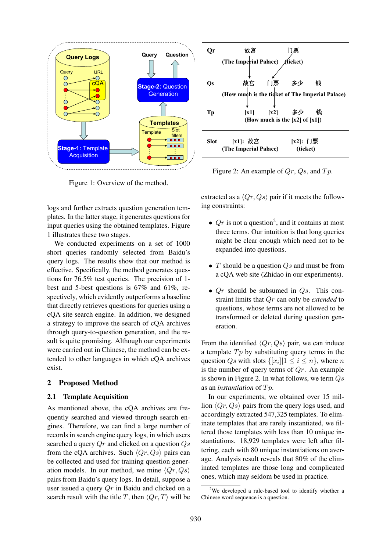

Figure 1: Overview of the method.

logs and further extracts question generation templates. In the latter stage, it generates questions for input queries using the obtained templates. Figure 1 illustrates these two stages.

We conducted experiments on a set of 1000 short queries randomly selected from Baidu's query logs. The results show that our method is effective. Specifically, the method generates questions for 76.5% test queries. The precision of 1 best and 5-best questions is 67% and 61%, respectively, which evidently outperforms a baseline that directly retrieves questions for queries using a cQA site search engine. In addition, we designed a strategy to improve the search of cQA archives through query-to-question generation, and the result is quite promising. Although our experiments were carried out in Chinese, the method can be extended to other languages in which cQA archives exist.

#### 2 Proposed Method

#### 2.1 Template Acquisition

As mentioned above, the cQA archives are frequently searched and viewed through search engines. Therefore, we can find a large number of records in search engine query logs, in which users searched a query  $Qr$  and clicked on a question  $Qs$ from the cQA archives. Such  $\langle Qr, Qs \rangle$  pairs can be collected and used for training question generation models. In our method, we mine  $\langle Qr, Qs \rangle$ pairs from Baidu's query logs. In detail, suppose a user issued a query  $Qr$  in Baidu and clicked on a search result with the title T, then  $\langle Qr, T \rangle$  will be



Figure 2: An example of  $Qr$ ,  $Qs$ , and  $Tp$ .

extracted as a  $\langle Qr, Qs \rangle$  pair if it meets the following constraints:

- $Qr$  is not a question<sup>2</sup>, and it contains at most three terms. Our intuition is that long queries might be clear enough which need not to be expanded into questions.
- $T$  should be a question  $Q_s$  and must be from a cQA web site (Zhidao in our experiments).
- $Qr$  should be subsumed in  $Qs$ . This constraint limits that Qr can only be *extended* to questions, whose terms are not allowed to be transformed or deleted during question generation.

From the identified  $\langle Qr, Qs \rangle$  pair, we can induce a template  $Tp$  by substituting query terms in the question  $Q_s$  with slots  $\{[x_i]|1 \leq i \leq n\}$ , where n is the number of query terms of  $Qr$ . An example is shown in Figure 2. In what follows, we term  $Q_s$ as an *instantiation* of  $Tp$ .

In our experiments, we obtained over 15 million  $\langle Or, Os \rangle$  pairs from the query logs used, and accordingly extracted 547,325 templates. To eliminate templates that are rarely instantiated, we filtered those templates with less than 10 unique instantiations. 18,929 templates were left after filtering, each with 80 unique instantiations on average. Analysis result reveals that 80% of the eliminated templates are those long and complicated ones, which may seldom be used in practice.

 $2$ We developed a rule-based tool to identify whether a Chinese word sequence is a question.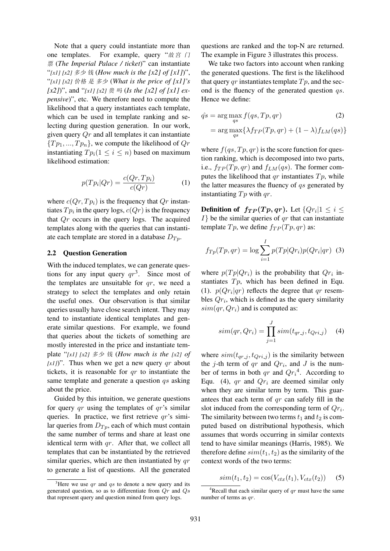Note that a query could instantiate more than one templates. For example, query " $\# \bar{g}$   $\Box$ 票 (*The Imperial Palace / ticket*)" can instantiate "*[x1] [x2]* 多少 钱 (*How much is the [x2] of [x1]*)", "*[x1] [x2]* 价格 是 多少 (*What is the price of [x1]'s*  $[x2]$ )", and " $[x1]$   $[x2] \ncong$   $\mathbb{E}$   $[$   $[$   $]$   $[$   $]$   $[$  $]$   $[$  $]$  $[$  $]$  $[$  $]$  $[$  $]$  $[$  $]$  $[$  $]$  $[$  $]$  $[$  $]$  $[$  $]$  $[$  $]$  $[$  $]$  $[$  $]$  $[$  $]$  $[$  $]$  $[$  $]$  $[$  $]$  $[$  $]$  $[$  $]$  $[$  $]$  $[$  $]$  $[$  $]$  $[$  $]$  $[$  $]$  $[$  $]$  $[$  $]$  $[$  $]$ *pensive*)", etc. We therefore need to compute the likelihood that a query instantiates each template, which can be used in template ranking and selecting during question generation. In our work, given query  $Qr$  and all templates it can instantiate  ${T_{p_1},...,T_{p_n}}$ , we compute the likelihood of  $Q_r$ instantiating  $Tp_i(1 \leq i \leq n)$  based on maximum likelihood estimation:

$$
p(Tp_i|Qr) = \frac{c(Qr, Tp_i)}{c(Qr)}\tag{1}
$$

where  $c(Qr, T p_i)$  is the frequency that  $Qr$  instantiates  $Tp_i$  in the query logs,  $c(Qr)$  is the frequency that  $Qr$  occurs in the query logs. The acquired templates along with the queries that can instantiate each template are stored in a database  $D_{T_p}$ .

#### 2.2 Question Generation

With the induced templates, we can generate questions for any input query  $qr^3$ . Since most of the templates are unsuitable for  $qr$ , we need a strategy to select the templates and only retain the useful ones. Our observation is that similar queries usually have close search intent. They may tend to instantiate identical templates and generate similar questions. For example, we found that queries about the tickets of something are mostly interested in the price and instantiate template "*[x1] [x2]* 多少 钱 (*How much is the [x2] of*  $[x1]$ ". Thus when we get a new query qr about tickets, it is reasonable for  $qr$  to instantiate the same template and generate a question  $qs$  asking about the price.

Guided by this intuition, we generate questions for query  $qr$  using the templates of  $qr$ 's similar queries. In practice, we first retrieve  $qr$ 's similar queries from  $D_{T_p}$ , each of which must contain the same number of terms and share at least one identical term with  $qr$ . After that, we collect all templates that can be instantiated by the retrieved similar queries, which are then instantiated by  $qr$ to generate a list of questions. All the generated

questions are ranked and the top-N are returned. The example in Figure 3 illustrates this process.

We take two factors into account when ranking the generated questions. The first is the likelihood that query qr instantiates template  $Tp$ , and the second is the fluency of the generated question qs. Hence we define:

$$
\hat{qs} = \arg\max_{qs} f(qs, Tp, qr)
$$
\n
$$
= \arg\max_{qs} \{ \lambda f_{TP}(Tp, qr) + (1 - \lambda) f_{LM}(qs) \}
$$
\n(2)

where  $f(qs, Tp, qr)$  is the score function for question ranking, which is decomposed into two parts, i.e.,  $f_{TP}(Tp,qr)$  and  $f_{LM}(qs)$ . The former computes the likelihood that  $qr$  instantiates  $Tp$ , while the latter measures the fluency of  $qs$  generated by instantiating  $Tp$  with  $qr$ .

**Definition of**  $f_{TP}(Tp,qr)$ . Let  $\{Qr_i|1 \leq i \leq$  $I$ } be the similar queries of  $qr$  that can instantiate template  $Tp$ , we define  $f_{TP}(Tp, qr)$  as:

$$
f_{Tp}(Tp,qr) = \log \sum_{i=1}^{I} p(Tp|Qr_i)p(Qr_i|qr)
$$
 (3)

where  $p(Tp|Qr_i)$  is the probability that  $Qr_i$  instantiates  $Tp$ , which has been defined in Equ. (1).  $p(Qr_i|qr)$  reflects the degree that qr resembles  $Qr_i$ , which is defined as the query similarity  $sim(qr, Qr_i)$  and is computed as:

$$
sim(qr, Qr_i) = \prod_{j=1}^{J} sim(t_{qr,j}, t_{Qri,j})
$$
 (4)

where  $sim(t_{qr\_i}, t_{Qri\_i})$  is the similarity between the j-th term of qr and  $Qr_i$ , and J is the number of terms in both qr and  $Qr_i^4$ . According to Equ. (4), qr and  $Qr_i$  are deemed similar only when they are similar term by term. This guarantees that each term of  $qr$  can safely fill in the slot induced from the corresponding term of  $Qr_i$ . The similarity between two terms  $t_1$  and  $t_2$  is computed based on distributional hypothesis, which assumes that words occurring in similar contexts tend to have similar meanings (Harris, 1985). We therefore define  $sim(t_1, t_2)$  as the similarity of the context words of the two terms:

$$
sim(t_1, t_2) = cos(V_{ctx}(t_1), V_{ctx}(t_2))
$$
 (5)

<sup>&</sup>lt;sup>3</sup>Here we use qr and qs to denote a new query and its generated question, so as to differentiate from  $Qr$  and  $Qs$ that represent query and question mined from query logs.

<sup>&</sup>lt;sup>4</sup>Recall that each similar query of  $qr$  must have the same number of terms as qr.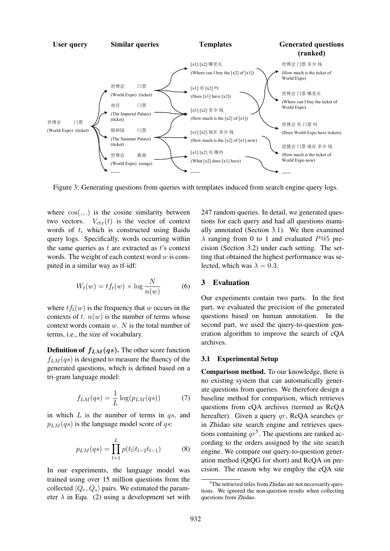

Figure 3: Generating questions from queries with templates induced from search engine query logs.

where  $cos(.,.)$  is the cosine similarity between two vectors.  $V_{ctx}(t)$  is the vector of context words of  $t$ , which is constructed using Baidu query logs. Specifically, words occurring within the same queries as  $t$  are extracted as  $t$ 's context words. The weight of each context word  $w$  is computed in a similar way as tf-idf:

$$
W_t(w) = t f_t(w) \times \log \frac{N}{n(w)} \tag{6}
$$

where  $tf_t(w)$  is the frequency that w occurs in the contexts of t.  $n(w)$  is the number of terms whose context words contain  $w$ .  $N$  is the total number of terms, i.e., the size of vocabulary.

**Definition of**  $f_{LM}(qs)$ **.** The other score function  $f_{LM}(qs)$  is designed to measure the fluency of the generated questions, which is defined based on a tri-gram language model:

$$
f_{LM}(qs) = \frac{1}{L} \log(p_{LM}(qs))
$$
 (7)

in which  $L$  is the number of terms in  $qs$ , and  $p_{LM}(qs)$  is the language model score of qs:

$$
p_{LM}(qs) = \prod_{l=1}^{L} p(t_l | t_{l-2} t_{l-1})
$$
 (8)

In our experiments, the language model was trained using over 15 million questions from the collected  $\langle Q_r, Q_s \rangle$  pairs. We estimated the parameter  $\lambda$  in Equ. (2) using a development set with

247 random queries. In detail, we generated questions for each query and had all questions manually annotated (Section 3.1). We then examined  $\lambda$  ranging from 0 to 1 and evaluated P@5 precision (Section 3.2) under each setting. The setting that obtained the highest performance was selected, which was  $\lambda = 0.3$ .

# 3 Evaluation

Our experiments contain two parts. In the first part, we evaluated the precision of the generated questions based on human annotation. In the second part, we used the query-to-question generation algorithm to improve the search of cQA archives.

#### 3.1 Experimental Setup

Comparison method. To our knowledge, there is no existing system that can automatically generate questions from queries. We therefore design a baseline method for comparison, which retrieves questions from cQA archives (termed as RcQA hereafter). Given a query  $qr$ , RcQA searches  $qr$ in Zhidao site search engine and retrieves questions containing  $qr^5$ . The questions are ranked according to the orders assigned by the site search engine. We compare our query-to-question generation method (QtQG for short) and RcQA on precision. The reason why we employ the cQA site

<sup>&</sup>lt;sup>5</sup>The retrieved titles from Zhidao are not necessarily questions. We ignored the non-question results when collecting questions from Zhidao.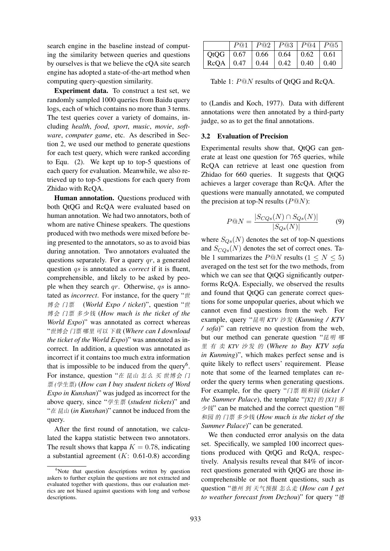search engine in the baseline instead of computing the similarity between queries and questions by ourselves is that we believe the cQA site search engine has adopted a state-of-the-art method when computing query-question similarity.

Experiment data. To construct a test set, we randomly sampled 1000 queries from Baidu query logs, each of which contains no more than 3 terms. The test queries cover a variety of domains, including *health*, *food*, *sport*, *music*, *movie*, *software*, *computer game*, etc. As described in Section 2, we used our method to generate questions for each test query, which were ranked according to Equ. (2). We kept up to top-5 questions of each query for evaluation. Meanwhile, we also retrieved up to top-5 questions for each query from Zhidao with RcQA.

Human annotation. Questions produced with both QtQG and RcQA were evaluated based on human annotation. We had two annotators, both of whom are native Chinese speakers. The questions produced with two methods were mixed before being presented to the annotators, so as to avoid bias during annotation. Two annotators evaluated the questions separately. For a query  $qr$ , a generated question qs is annotated as *correct* if it is fluent, comprehensible, and likely to be asked by people when they search  $qr$ . Otherwise, qs is annotated as *incorrect*. For instance, for the query "世 博会 门票 (*World Expo / ticket*)", question "世 博会 门票 多少钱 (*How much is the ticket of the World Expo*)" was annotated as correct whereas "世博会 门票 哪里 可以 下载 (*Where can I download the ticket of the World Expo*)" was annotated as incorrect. In addition, a question was annotated as incorrect if it contains too much extra information that is impossible to be induced from the query<sup>6</sup>. For instance, question "在 昆山 怎么 买 世博会 门 票 *(*学生票*)* (*How can I buy student tickets of Word Expo in Kunshan*)" was judged as incorrect for the above query, since "学生票 (*student tickets*)" and "在 昆山 (*in Kunshan*)" cannot be induced from the query.

After the first round of annotation, we calculated the kappa statistic between two annotators. The result shows that kappa  $K = 0.78$ , indicating a substantial agreement  $(K: 0.61-0.8)$  according

|                                         |  |  | P@1 P@2 P@3 P@4 P@5 |
|-----------------------------------------|--|--|---------------------|
| QtQG   0.67   0.66   0.64   0.62   0.61 |  |  |                     |
| RcQA   0.47   0.44   0.42   0.40   0.40 |  |  |                     |

Table 1: P@N results of QtQG and RcQA.

to (Landis and Koch, 1977). Data with different annotations were then annotated by a third-party judge, so as to get the final annotations.

### 3.2 Evaluation of Precision

Experimental results show that, QtQG can generate at least one question for 765 queries, while RcQA can retrieve at least one question from Zhidao for 660 queries. It suggests that QtQG achieves a larger coverage than RcQA. After the questions were manually annotated, we computed the precision at top-N results ( $P@N$ ):

$$
P@N = \frac{|S_{CQs}(N) \cap S_{Qs}(N)|}{|S_{Qs}(N)|} \tag{9}
$$

where  $S_{Os}(N)$  denotes the set of top-N questions and  $S_{COs}(N)$  denotes the set of correct ones. Table 1 summarizes the P@N results ( $1 \le N \le 5$ ) averaged on the test set for the two methods, from which we can see that QtQG significantly outperforms RcQA. Especially, we observed the results and found that QtQG can generate correct questions for some unpopular queries, about which we cannot even find questions from the web. For example, query "昆明 *KTV* 沙发 (*Kunming / KTV / sofa*)" can retrieve no question from the web, but our method can generate question "昆明 哪 <sup>里</sup> 有 卖 *KTV* 沙发 的 (*Where to Buy KTV sofa in Kunming*)", which makes perfect sense and is quite likely to reflect users' requirement. Please note that some of the learned templates can reorder the query terms when generating questions. For example, for the query "门票 颐和园 (*ticket / the Summer Palace*), the template "*[X2]* 的 *[X1]* 多 少钱" can be matched and the correct question "顾 和园 的 门票 多少钱 (*How much is the ticket of the Summer Palace*)" can be generated.

We then conducted error analysis on the data set. Specifically, we sampled 100 incorrect questions produced with QtQG and RcQA, respectively. Analysis results reveal that 84% of incorrect questions generated with QtQG are those incomprehensible or not fluent questions, such as question "德州 到 天气预报 怎么走 (*How can I get to weather forecast from Dezhou*)" for query "德

<sup>&</sup>lt;sup>6</sup>Note that question descriptions written by question askers to further explain the questions are not extracted and evaluated together with questions, thus our evaluation metrics are not biased against questions with long and verbose descriptions.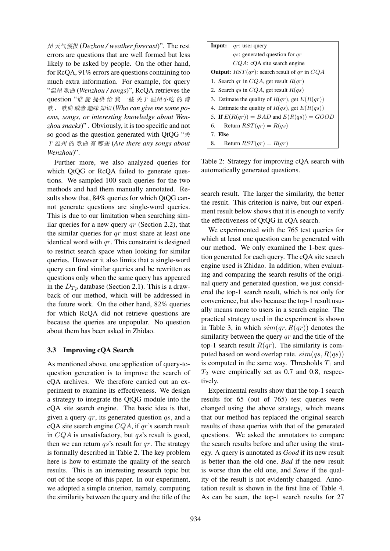州 天气预报 (*Dezhou / weather forecast*)". The rest errors are questions that are well formed but less likely to be asked by people. On the other hand, for RcQA, 91% errors are questions containing too much extra information. For example, for query "温州 歌曲 (*Wenzhou / songs*)", RcQA retrieves the question "谁 能 提供 给 我 一些 关于 温州小吃 的 诗 歌 , 歌曲 或者 趣味 知识 (*Who can give me some poems, songs, or interesting knowledge about Wenzhou snacks*)" . Obviously, it is too specific and not so good as the question generated with QtQG "关 于 温州 的 歌曲 有 哪些 (*Are there any songs about Wenzhou*)".

Further more, we also analyzed queries for which QtQG or RcQA failed to generate questions. We sampled 100 such queries for the two methods and had them manually annotated. Results show that, 84% queries for which QtQG cannot generate questions are single-word queries. This is due to our limitation when searching similar queries for a new query  $qr$  (Section 2.2), that the similar queries for qr must share at least one identical word with  $qr$ . This constraint is designed to restrict search space when looking for similar queries. However it also limits that a single-word query can find similar queries and be rewritten as questions only when the same query has appeared in the  $D_{T_p}$  database (Section 2.1). This is a drawback of our method, which will be addressed in the future work. On the other hand, 82% queries for which RcQA did not retrieve questions are because the queries are unpopular. No question about them has been asked in Zhidao.

### 3.3 Improving cQA Search

As mentioned above, one application of query-toquestion generation is to improve the search of cQA archives. We therefore carried out an experiment to examine its effectiveness. We design a strategy to integrate the QtQG module into the cQA site search engine. The basic idea is that, given a query  $qr$ , its generated question  $qs$ , and a cQA site search engine  $CQA$ , if  $qr$ 's search result in  $CQA$  is unsatisfactory, but  $qs$ 's result is good, then we can return  $qs$ 's result for qr. The strategy is formally described in Table 2. The key problem here is how to estimate the quality of the search results. This is an interesting research topic but out of the scope of this paper. In our experiment, we adopted a simple criterion, namely, computing the similarity between the query and the title of the

| <b>Input:</b> $qr$ : user query                         |  |  |  |  |  |
|---------------------------------------------------------|--|--|--|--|--|
| <i>qs</i> : generated question for <i>qr</i>            |  |  |  |  |  |
| $CQA$ : cQA site search engine                          |  |  |  |  |  |
| <b>Output:</b> $RST(qr)$ : search result of qr in $CQA$ |  |  |  |  |  |
| 1. Search qr in $CQA$ , get result $R(qr)$              |  |  |  |  |  |
| 2. Search qs in $CQA$ , get result $R(qs)$              |  |  |  |  |  |
| 3. Estimate the quality of $R(qr)$ , get $E(R(qr))$     |  |  |  |  |  |
| 4. Estimate the quality of $R(qs)$ , get $E(R(qs))$     |  |  |  |  |  |
| 5. If $E(R(qr)) = BAD$ and $E(R(qs)) = GOOD$            |  |  |  |  |  |
| 6. Return $RST(qr) = R(qs)$                             |  |  |  |  |  |
| 7. Else                                                 |  |  |  |  |  |
| Return $RST(qr) = R(qr)$<br>8.                          |  |  |  |  |  |

Table 2: Strategy for improving cQA search with automatically generated questions.

search result. The larger the similarity, the better the result. This criterion is naive, but our experiment result below shows that it is enough to verify the effectiveness of QtQG in cQA search.

We experimented with the 765 test queries for which at least one question can be generated with our method. We only examined the 1-best question generated for each query. The cQA site search engine used is Zhidao. In addition, when evaluating and comparing the search results of the original query and generated question, we just considered the top-1 search result, which is not only for convenience, but also because the top-1 result usually means more to users in a search engine. The practical strategy used in the experiment is shown in Table 3, in which  $sim(qr, R(qr))$  denotes the similarity between the query  $qr$  and the title of the top-1 search result  $R(qr)$ . The similarity is computed based on word overlap rate.  $sim(qs, R(qs))$ is computed in the same way. Thresholds  $T_1$  and  $T_2$  were empirically set as 0.7 and 0.8, respectively.

Experimental results show that the top-1 search results for 65 (out of 765) test queries were changed using the above strategy, which means that our method has replaced the original search results of these queries with that of the generated questions. We asked the annotators to compare the search results before and after using the strategy. A query is annotated as *Good* if its new result is better than the old one, *Bad* if the new result is worse than the old one, and *Same* if the quality of the result is not evidently changed. Annotation result is shown in the first line of Table 4. As can be seen, the top-1 search results for 27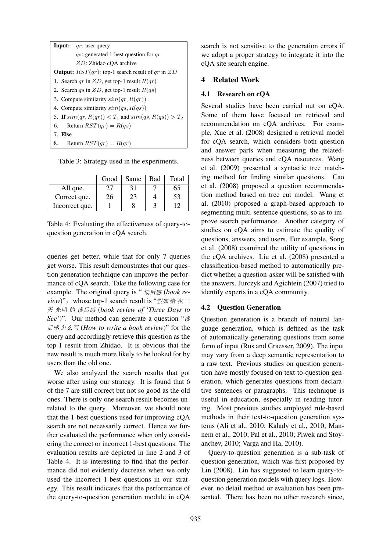| <b>Input:</b> $qr$ : user query                            |  |  |  |  |  |
|------------------------------------------------------------|--|--|--|--|--|
| <i>qs</i> : generated 1-best question for $qr$             |  |  |  |  |  |
| $ZD$ : Zhidao cOA archive                                  |  |  |  |  |  |
| <b>Output:</b> $RST(qr)$ : top-1 search result of qr in ZD |  |  |  |  |  |
| 1. Search qr in $ZD$ , get top-1 result $R(qr)$            |  |  |  |  |  |
| 2. Search qs in $ZD$ , get top-1 result $R(qs)$            |  |  |  |  |  |
| 3. Compute similarity $sim(qr, R(qr))$                     |  |  |  |  |  |
| 4. Compute similarity $sim(qs, R(qs))$                     |  |  |  |  |  |
| 5. If $sim(qr, R(qr)) < T_1$ and $sim(qs, R(qs)) > T_2$    |  |  |  |  |  |
| Return $RST(qr) = R(qs)$<br>6.                             |  |  |  |  |  |
| 7. Else                                                    |  |  |  |  |  |
| Return $RST(qr) = R(qr)$<br>8.                             |  |  |  |  |  |

Table 3: Strategy used in the experiments.

|                | Good | Same | Bad | Total |
|----------------|------|------|-----|-------|
| All que.       |      |      |     | რბ    |
| Correct que.   | 26   | 23   |     | 53    |
| Incorrect que. |      |      |     |       |

Table 4: Evaluating the effectiveness of query-toquestion generation in cQA search.

queries get better, while that for only 7 queries get worse. This result demonstrates that our question generation technique can improve the performance of cQA search. Take the following case for example. The original query is " 读后感 (*book review*)", whose top-1 search result is "假如 给 我 三 天 光明 的 读后感 (*book review of 'Three Days to See'*)". Our method can generate a question "读 后感 怎么写 (*How to write a book review*)" for the query and accordingly retrieve this question as the top-1 result from Zhidao. It is obvious that the new result is much more likely to be looked for by users than the old one.

We also analyzed the search results that got worse after using our strategy. It is found that 6 of the 7 are still correct but not so good as the old ones. There is only one search result becomes unrelated to the query. Moreover, we should note that the 1-best questions used for improving cQA search are not necessarily correct. Hence we further evaluated the performance when only considering the correct or incorrect 1-best questions. The evaluation results are depicted in line 2 and 3 of Table 4. It is interesting to find that the performance did not evidently decrease when we only used the incorrect 1-best questions in our strategy. This result indicates that the performance of the query-to-question generation module in cQA

search is not sensitive to the generation errors if we adopt a proper strategy to integrate it into the cQA site search engine.

### 4 Related Work

### 4.1 Research on cQA

Several studies have been carried out on cQA. Some of them have focused on retrieval and recommendation on cQA archives. For example, Xue et al. (2008) designed a retrieval model for cQA search, which considers both question and answer parts when measuring the relatedness between queries and cQA resources. Wang et al. (2009) presented a syntactic tree matching method for finding similar questions. Cao et al. (2008) proposed a question recommendation method based on tree cut model. Wang et al. (2010) proposed a graph-based approach to segmenting multi-sentence questions, so as to improve search performance. Another category of studies on cQA aims to estimate the quality of questions, answers, and users. For example, Song et al. (2008) examined the utility of questions in the cQA archives. Liu et al. (2008) presented a classification-based method to automatically predict whether a question-asker will be satisfied with the answers. Jurczyk and Agichtein (2007) tried to identify experts in a cQA community.

#### 4.2 Question Generation

Question generation is a branch of natural language generation, which is defined as the task of automatically generating questions from some form of input (Rus and Graesser, 2009). The input may vary from a deep semantic representation to a raw text. Previous studies on question generation have mostly focused on text-to-question generation, which generates questions from declarative sentences or paragraphs. This technique is useful in education, especially in reading tutoring. Most previous studies employed rule-based methods in their text-to-question generation systems (Ali et al., 2010; Kalady et al., 2010; Mannem et al., 2010; Pal et al., 2010; Piwek and Stoyanchev, 2010; Varga and Ha, 2010).

Query-to-question generation is a sub-task of question generation, which was first proposed by Lin (2008). Lin has suggested to learn query-toquestion generation models with query logs. However, no detail method or evaluation has been presented. There has been no other research since,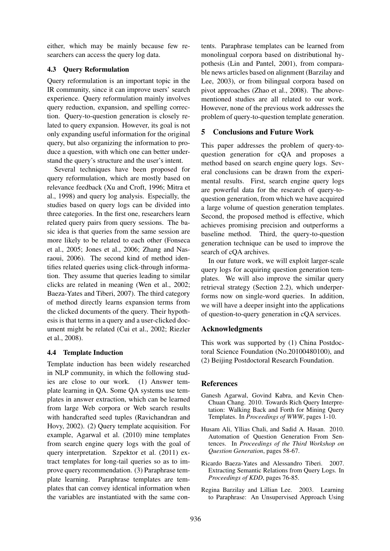either, which may be mainly because few researchers can access the query log data.

## 4.3 Query Reformulation

Query reformulation is an important topic in the IR community, since it can improve users' search experience. Query reformulation mainly involves query reduction, expansion, and spelling correction. Query-to-question generation is closely related to query expansion. However, its goal is not only expanding useful information for the original query, but also organizing the information to produce a question, with which one can better understand the query's structure and the user's intent.

Several techniques have been proposed for query reformulation, which are mostly based on relevance feedback (Xu and Croft, 1996; Mitra et al., 1998) and query log analysis. Especially, the studies based on query logs can be divided into three categories. In the first one, researchers learn related query pairs from query sessions. The basic idea is that queries from the same session are more likely to be related to each other (Fonseca et al., 2005; Jones et al., 2006; Zhang and Nasraoui, 2006). The second kind of method identifies related queries using click-through information. They assume that queries leading to similar clicks are related in meaning (Wen et al., 2002; Baeza-Yates and Tiberi, 2007). The third category of method directly learns expansion terms from the clicked documents of the query. Their hypothesis is that terms in a query and a user-clicked document might be related (Cui et al., 2002; Riezler et al., 2008).

# 4.4 Template Induction

Template induction has been widely researched in NLP community, in which the following studies are close to our work. (1) Answer template learning in QA. Some QA systems use templates in answer extraction, which can be learned from large Web corpora or Web search results with handcrafted seed tuples (Ravichandran and Hovy, 2002). (2) Query template acquisition. For example, Agarwal et al. (2010) mine templates from search engine query logs with the goal of query interpretation. Szpektor et al. (2011) extract templates for long-tail queries so as to improve query recommendation. (3) Paraphrase template learning. Paraphrase templates are templates that can convey identical information when the variables are instantiated with the same contents. Paraphrase templates can be learned from monolingual corpora based on distributional hypothesis (Lin and Pantel, 2001), from comparable news articles based on alignment (Barzilay and Lee, 2003), or from bilingual corpora based on pivot approaches (Zhao et al., 2008). The abovementioned studies are all related to our work. However, none of the previous work addresses the problem of query-to-question template generation.

# 5 Conclusions and Future Work

This paper addresses the problem of query-toquestion generation for cQA and proposes a method based on search engine query logs. Several conclusions can be drawn from the experimental results. First, search engine query logs are powerful data for the research of query-toquestion generation, from which we have acquired a large volume of question generation templates. Second, the proposed method is effective, which achieves promising precision and outperforms a baseline method. Third, the query-to-question generation technique can be used to improve the search of cQA archives.

In our future work, we will exploit larger-scale query logs for acquiring question generation templates. We will also improve the similar query retrieval strategy (Section 2.2), which underperforms now on single-word queries. In addition, we will have a deeper insight into the applications of question-to-query generation in cQA services.

# Acknowledgments

This work was supported by (1) China Postdoctoral Science Foundation (No.20100480100), and (2) Beijing Postdoctoral Research Foundation.

# References

- Ganesh Agarwal, Govind Kabra, and Kevin Chen-Chuan Chang. 2010. Towards Rich Query Interpretation: Walking Back and Forth for Mining Query Templates. In *Proceedings of WWW*, pages 1-10.
- Husam Ali, Yllias Chali, and Sadid A. Hasan. 2010. Automation of Question Generation From Sentences. In *Proceedings of the Third Workshop on Question Generation*, pages 58-67.
- Ricardo Baeza-Yates and Alessandro Tiberi. 2007. Extracting Semantic Relations from Query Logs. In *Proceedings of KDD*, pages 76-85.
- Regina Barzilay and Lillian Lee. 2003. Learning to Paraphrase: An Unsupervised Approach Using